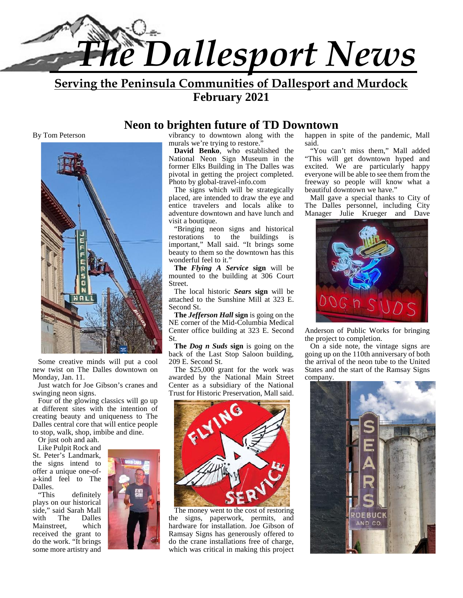

**Serving the Peninsula Communities of Dallesport and Murdock February 2021**

#### **Neon to brighten future of TD Downtown**

By Tom Peterson



Some creative minds will put a cool new twist on The Dalles downtown on Monday, Jan. 11.

Just watch for Joe Gibson's cranes and swinging neon signs.

Four of the glowing classics will go up at different sites with the intention of creating beauty and uniqueness to The Dalles central core that will entice people to stop, walk, shop, imbibe and dine.

Or just ooh and aah.

Like Pulpit Rock and St. Peter's Landmark, the signs intend to offer a unique one-of a-kind feel to The Dalles.

"This definitely plays on our historical side," said Sarah Mall<br>with The Dalles Dalles Mainstreet, which received the grant to do the work. "It brings some more artistry and



vibrancy to downtown along with the murals we're trying to restore."

**David Benko**, who established the National Neon Sign Museum in the former Elks Building in The Dalles was pivotal in getting the project completed. Photo by global-travel-info.com

The signs which will be strategically placed, are intended to draw the eye and entice travelers and locals alike to adventure downtown and have lunch and visit a boutique.

"Bringing neon signs and historical restorations to the buildings is important," Mall said. "It brings some beauty to them so the downtown has this wonderful feel to it."

**The** *Flying A Service* **sign** will be mounted to the building at 306 Court Street.

The local historic *Sears* **sign** will be attached to the Sunshine Mill at 323 E. Second St.

**The** *Jefferson Hall* **sign** is going on the NE corner of the Mid-Columbia Medical Center office building at 323 E. Second St.

**The** *Dog n Suds* **sign** is going on the back of the Last Stop Saloon building, 209 E. Second St.

The \$25,000 grant for the work was awarded by the National Main Street Center as a subsidiary of the National



The money went to the cost of restoring the signs, paperwork, permits, and hardware for installation. Joe Gibson of Ramsay Signs has generously offered to do the crane installations free of charge, which was critical in making this project happen in spite of the pandemic, Mall said.

"You can't miss them," Mall added "This will get downtown hyped and excited. We are particularly happy everyone will be able to see them from the freeway so people will know what a beautiful downtown we have."

Mall gave a special thanks to City of The Dalles personnel, including City Manager Julie Krueger and Dave



Anderson of Public Works for bringing the project to completion.

On a side note, the vintage signs are going up on the 110th anniversary of both the arrival of the neon tube to the United States and the start of the Ramsay Signs company.

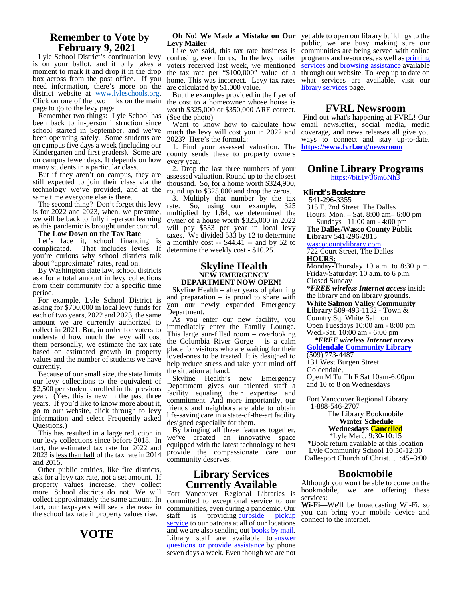#### **Remember to Vote by February 9, 2021**

Lyle School District's continuation levy is on your ballot, and it only takes a moment to mark it and drop it in the drop box across from the post office. If you need information, there's more on the district website at <u>www.lyleschools.org</u>.<br>Click on one of the two links on the main page to go to the levy page.

Remember two things: Lyle School has been back to in-person instruction since school started in September, and we've been operating safely. Some students are on campus five days a week (including our Kindergarten and first graders). Some are county sends these to property owners on campus fewer days. It depends on how many students in a particular class.

But if they aren't on campus, they are still expected to join their class via the technology we've provided, and at the same time everyone else is there.

The second thing? Don't forget this levy rate. is for 2022 and 2023, when, we presume, we will be back to fully in-person learning as this pandemic is brought under control.

**The Low Down on the Tax Rate**

Let's face it, school financing is complicated. That includes levies. If That includes levies. If you're curious why school districts talk about "approximate" rates, read on.

By Washington state law, school districts ask for a total amount in levy collections from their community for a specific time period.

For example, Lyle School District is asking for \$700,000 in local levy funds for each of two years, 2022 and 2023, the same amount we are currently authorized to collect in 2021. But, in order for voters to understand how much the levy will cost them personally, we estimate the tax rate based on estimated growth in property values and the number of students we have currently.

Because of our small size, the state limits our levy collections to the equivalent of \$2,500 per student enrolled in the previous year. (Yes, this is new in the past three years. If you'd like to know more about it, go to our website, click through to levy information and select Frequently asked Questions.)

This has resulted in a large reduction in our levy collections since before 2018. In fact, the estimated tax rate for 2022 and 2023 is less than half of the tax rate in 2014 and 2015.

Other public entities, like fire districts, ask for a levy tax rate, not a set amount. If property values increase, they collect more. School districts do not. We will collect approximately the same amount. In fact, our taxpayers will see a decrease in the school tax rate if property values rise. staff

## **Levy Mailer**

Like we said, this tax rate business is confusing, even for us. In the levy mailer voters received last week, we mentioned the tax rate per "\$100,000" value of a home. This was incorrect. Levy tax rates are calculated by \$1,000 value.

But the examples provided in the flyer of the cost to a homeowner whose house is worth \$325,000 or \$350,000 ARE correct. (See the photo)

Want to know how to calculate how much the levy will cost you in 2022 and 2023? Here's the formula:

1. Find your assessed valuation. The every year.

2. Drop the last three numbers of your assessed valuation. Round up to the closest thousand. So, for a home worth \$324,900, round up to \$325,000 and drop the zeros.

3. Multiply that number by the tax So, using our example, 325 multiplied by 1.64, we determined the owner of a house worth \$325,000 in 2022 will pay \$533 per year in local levy taxes. We divided 533 by 12 to determine a monthly cost  $-$  \$44.41  $-$  and by 52 to determine the weekly cost - \$10.25.

#### **Skyline Health NEW EMERGENCY DEPARTMENT NOW OPEN!**

Skyline Health – after years of planning and preparation – is proud to share with you our newly expanded Emergency Department.

As you enter our new facility, you immediately enter the Family Lounge. This large sun-filled room – overlooking the Columbia River Gorge – is a calm place for visitors who are waiting for their loved-ones to be treated. It is designed to help reduce stress and take your mind off

the situation at hand.<br>Skyline Health's new Emergency Skyline Health's Department gives our talented staff a facility equaling their expertise and commitment. And more importantly, our friends and neighbors are able to obtain life-saving care in a state-of-the-art facility designed especially for them.

By bringing all these features together, we've created an innovative space equipped with the latest technology to best provide the compassionate care our community deserves.

#### **Library Services Currently Available**

**VOTE** and we are also sending our **books by man.**<br>Library staff are available to answer Fort Vancouver Regional Libraries is committed to exceptional service to our communities, even during a pandemic. Our is providing curbside pickup service to our patrons at all of our locations and we are also sending out **books** by mail. questions or provide assistance by phone seven days a week. Even though we are not

**Oh No! We Made a Mistake on Our** yet able to open our library buildings to the public, we are busy making sure our communities are being served with online programs and resources, as well as printing services and browsing assistance available through our website. To keep up to date on what services are available, visit our library services page.

#### **FVRL Newsroom**

Find out what's happening at FVRL! Our email newsletter, social media, media coverage, and news releases all give you ways to connect and stay up-to-date. **https://www.fvrl.org/newsroom**

## **Online Library Programs**

https://bit.ly/36m6Nh3

#### **Klindt's Bookstore**

541-296-3355

315 E. 2nd Street, The Dalles Hours: Mon. – Sat. 8:00 am– 6:00 pm Sundays 11:00 am - 4:00 pm

**The Dalles/Wasco County Public Library** 541-296-2815

wascocountylibrary.com

722 Court Street, The Dalles **HOURS:**

Monday-Thursday 10 a.m. to 8:30 p.m. Friday-Saturday: 10 a.m. to 6 p.m. Closed Sunday

*\*FREE wireless Internet access* inside the library and on library grounds. **White Salmon Valley Community Library** 509-493-1132 - Town & Country Sq. White Salmon Open Tuesdays 10:00 am - 8:00 pm Wed.-Sat. 10:00 am - 6:00 pm

*\*FREE wireless Internet access* **Goldendale Community Library** (509) 773-4487

131 West Burgen Street Goldendale, Open M Tu Th F Sat 10am-6:00pm and 10 to 8 on Wednesdays

Fort Vancouver Regional Library 1-888-546-2707

The Library Bookmobile **Winter Schedule**

**Wednesdays Cancelled**

\*Lyle Merc. 9:30-10:15 \*Book return available at this location Lyle Community School 10:30-12:30 Dallesport Church of Christ…1:45–3:00

#### **Bookmobile**

Although you won't be able to come on the bookmobile, we are offering these services:

**Wi-Fi**—We'll be broadcasting Wi-Fi, so you can bring your mobile device and connect to the internet.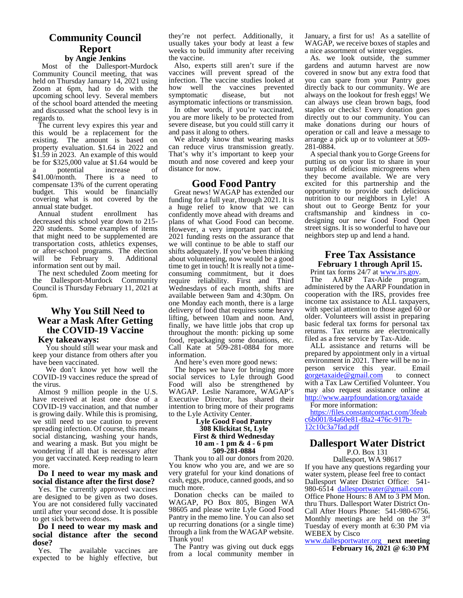#### **Community Council Report**

#### **by Angie Jenkins**

Most of the Dallesport-Murdock Community Council meeting, that was held on Thursday January 14, 2021 using Zoom at 6pm, had to do with the upcoming school levy. Several members of the school board attended the meeting and discussed what the school levy is in regards to.

The current levy expires this year and this would be a replacement for the existing. The amount is based on property evaluation. \$1.64 in 2022 and \$1.59 in 2023. An example of this would be for \$325,000 value at \$1.64 would be<br>a potential increase of potential increase of \$41.00/month. There is a need to compensate 13% of the current operating budget. This would be financially covering what is not covered by the

annual state budget. Annual student enrollment has<br>decreased this school year down to 215-220 students. Some examples of items that might need to be supplemented are transportation costs, athletics expenses, or after-school programs. The election<br>will be February 9. Additional information sent out by mail.

The next scheduled Zoom meeting for the Dallesport-Murdock Community Council is Thursday February 11, 2021 at 6pm.

#### **Why You Still Need to Wear a Mask After Getting the COVID-19 Vaccine**

#### **Key takeaways:**

You should still wear your mask and keep your distance from others after you have been vaccinated.

We don't know yet how well the COVID-19 vaccines reduce the spread of the virus.

Almost 9 million people in the U.S. have received at least one dose of a COVID-19 vaccination, and that number is growing daily. While this is promising, we still need to use caution to prevent spreading infection. Of course, this means social distancing, washing your hands, and wearing a mask. But you might be wondering if all that is necessary after you get vaccinated. Keep reading to learn more.

#### **Do I need to wear my mask and social distance after the first dose?**

Yes. The currently approved vaccines are designed to be given as two doses. You are not considered fully vaccinated until after your second dose. It is possible to get sick between doses.

#### **Do I need to wear my mask and social distance after the second dose?**

Yes. The available vaccines are expected to be highly effective, but they're not perfect. Additionally, it usually takes your body at least a few weeks to build immunity after receiving the vaccine.

Also, experts still aren't sure if the vaccines will prevent spread of the infection. The vaccine studies looked at how well the vaccines prevented symptomatic disease, but not asymptomatic infections or transmission.

In other words, if you're vaccinated, you are more likely to be protected from severe disease, but you could still carry it and pass it along to others.

We already know that wearing masks arrange a<br>an reduce virus transmission greatly. 281-0884. can reduce virus transmission greatly. That's why it's important to keep your mouth and nose covered and keep your distance for now.

#### **Good Food Pantry**

will be February 9. Additional about volunteering, now would be a good information sent out by mail. Great news! WAGAP has extended our funding for a full year, through 2021. It is a huge relief to know that we can confidently move ahead with dreams and crattsmanship and kindness in co-<br>plans of what Good Food can become, designing our new Good Food Open plans of what Good Food can become. However, a very important part of the 2021 funding rests on the assurance that we will continue to be able to staff our shifts adequately. If you've been thinking about volunteering, now would be a good<br>time to get in touch! It is really not a time-<br>**February 1 through April 15.** consuming commitment, but it does Frint<br>require reliability First and Third The require reliability. First and Third Wednesdays of each month, shifts are available between 9am and 4:30pm. On one Monday each month, there is a large delivery of food that requires some heavy lifting, between 10am and noon. And, finally, we have little jobs that crop up throughout the month: picking up some food, repackaging some donations, etc. Call Kate at 509-281-0884 for more information.

And here's even more good news:

The hopes we have for bringing more person service this year. social services to Lyle through Good Food will also be strengthened by WAGAP. Leslie Naramore, WAGAP's Executive Director, has shared their intention to bring more of their programs to the Lyle Activity Center.

#### **Lyle Good Food Pantry 308 Klickitat St, Lyle First & third Wednesday 10 am - 1 pm & 4 - 6 pm 509-281-0884**

Thank you to all our donors from 2020. You know who you are, and we are so very grateful for your kind donations of cash, eggs, produce, canned goods, and so Dallesport Water District Office: 541much more.

Donation checks can be mailed to WAGAP, PO Box 805, Bingen WA thru Thurs. Dallesport Water District On-98605 and please write Lyle Good Food Pantry in the memo line. You can also set Monthly meetings are held on the 3<sup>rd</sup> up recurring donations (or a single time) through a link from the WAGAP website. Thank you!

The Pantry was giving out duck eggs from a local community member in January, a first for us! As a satellite of WAGAP, we receive boxes of staples and a nice assortment of winter veggies.

As. we look outside, the summer gardens and autumn harvest are now covered in snow but any extra food that you can spare from your Pantry goes directly back to our community. We are always on the lookout for fresh eggs! We can always use clean brown bags, food staples or checks! Every donation goes directly out to our community. You can make donations during our hours of operation or call and leave a message to arrange a pick up or to volunteer at 509-

A special thank you to Gorge Greens for putting us on your list to share in your surplus of delicious microgreens when they become available. We are very excited for this partnership and the opportunity to provide such delicious nutrition to our neighbors in Lyle! A shout out to George Bentz for your craftsmanship and kindness in costreet signs. It is so wonderful to have our neighbors step up and lend a hand.

## **Free Tax Assistance**

**Frint tax forms 24/7 at www.irs.gov.** The AARP Tax-Aide program,

administered by the AARP Foundation in cooperation with the IRS, provides free income tax assistance to ALL taxpayers, with special attention to those aged 60 or older. Volunteers will assist in preparing basic federal tax forms for personal tax returns. Tax returns are electronically filed as a free service by Tax-Aide.

ALL assistance and returns will be prepared by appointment only in a virtual environment in 2021. There will be no in-<br>person service this year. Email gorgetaxaide@gmail.com to connect with a Tax Law Certified Volunteer. You may also request assistance online at http://www.aarpfoundation.org/taxaide

For more information:

https://files.constantcontact.com/3feab c6b001/84a60e81-f8a2-476c-917b-<br>12c10c3a7fad.pdf

#### **Dallesport Water District** P.O. Box 131

Dallesport, WA 98617 If you have any questions regarding your water system, please feel free to contact 980-6514 dallesportwater@gmail.com Office Phone Hours: 8 AM to 3 PM Mon.

Call After Hours Phone: 541-980-6756. Monthly meetings are held on the 3<sup>rd</sup><br>Tuesday of every month at 6:30 PM via WEBEX by Cisco

www.dallesportwater.org **next meeting February 16, 2021 @ 6:30 PM**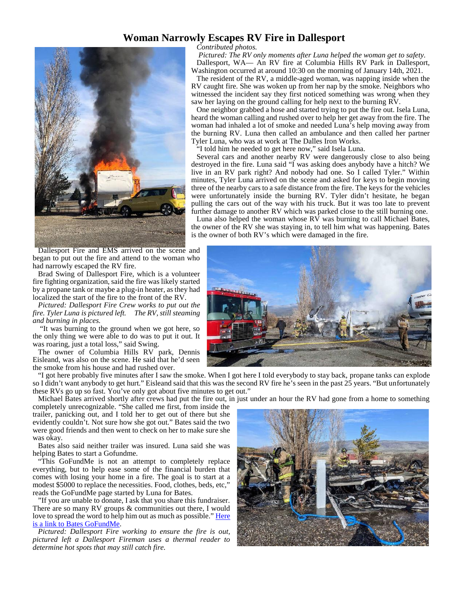#### **Woman Narrowly Escapes RV Fire in Dallesport**



Dallesport Fire and EMS arrived on the scene and began to put out the fire and attend to the woman who had narrowly escaped the RV fire.

Brad Swing of Dallesport Fire, which is a volunteer fire fighting organization, said the fire was likely started by a propane tank or maybe a plug-in heater, as they had localized the start of the fire to the front of the RV.

*Pictured: Dallesport Fire Crew works to put out the fire. Tyler Luna is pictured left. The RV, still steaming and burning in places.*

"It was burning to the ground when we got here, so the only thing we were able to do was to put it out. It was roaring, just a total loss," said Swing.

The owner of Columbia Hills RV park, Dennis Eisleand, was also on the scene. He said that he'd seen the smoke from his house and had rushed over.

"I got here probably five minutes after I saw the smoke. When I got here I told everybody to stay back, propane tanks can explode so I didn't want anybody to get hurt." Eisleand said that this was the second RV fire he's seen in the past 25 years. "But unfortunately these RVs go up so fast. You've only got about five minutes to get out."

Michael Bates arrived shortly after crews had put the fire out, in just under an hour the RV had gone from a home to something

completely unrecognizable. "She called me first, from inside the trailer, panicking out, and I told her to get out of there but she evidently couldn't. Not sure how she got out." Bates said the two were good friends and then went to check on her to make sure she was okay.

Bates also said neither trailer was insured. Luna said she was helping Bates to start a Gofundme.

"This GoFundMe is not an attempt to completely replace everything, but to help ease some of the financial burden that comes with losing your home in a fire. The goal is to start at a modest \$5000 to replace the necessities. Food, clothes, beds, etc," reads the GoFundMe page started by Luna for Bates.

"If you are unable to donate, I ask that you share this fundraiser. There are so many RV groups  $&$  communities out there, I would love to spread the word to help him out as much as possible." Here is a link to Bates GoFundMe.

*Pictured: Dallesport Fire working to ensure the fire is out, pictured left a Dallesport Fireman uses a thermal reader to determine hot spots that may still catch fire.*



*Contributed photos.*

*Pictured: The RV only moments after Luna helped the woman get to safety.* Dallesport, WA— An RV fire at Columbia Hills RV Park in Dallesport, Washington occurred at around 10:30 on the morning of January 14th, 2021.

The resident of the RV, a middle-aged woman, was napping inside when the RV caught fire. She was woken up from her nap by the smoke. Neighbors who witnessed the incident say they first noticed something was wrong when they saw her laying on the ground calling for help next to the burning RV.

One neighbor grabbed a hose and started trying to put the fire out. Isela Luna, heard the woman calling and rushed over to help her get away from the fire. The woman had inhaled a lot of smoke and needed Luna's help moving away from the burning RV. Luna then called an ambulance and then called her partner Tyler Luna, who was at work at The Dalles Iron Works.

"I told him he needed to get here now," said Isela Luna.

Several cars and another nearby RV were dangerously close to also being destroyed in the fire. Luna said "I was asking does anybody have a hitch? We live in an RV park right? And nobody had one. So I called Tyler." Within minutes, Tyler Luna arrived on the scene and asked for keys to begin moving three of the nearby cars to a safe distance from the fire. The keys for the vehicles were unfortunately inside the burning RV. Tyler didn't hesitate, he began pulling the cars out of the way with his truck. But it was too late to prevent further damage to another RV which was parked close to the still burning one.

Luna also helped the woman whose RV was burning to call Michael Bates, the owner of the RV she was staying in, to tell him what was happening. Bates is the owner of both RV's which were damaged in the fire.

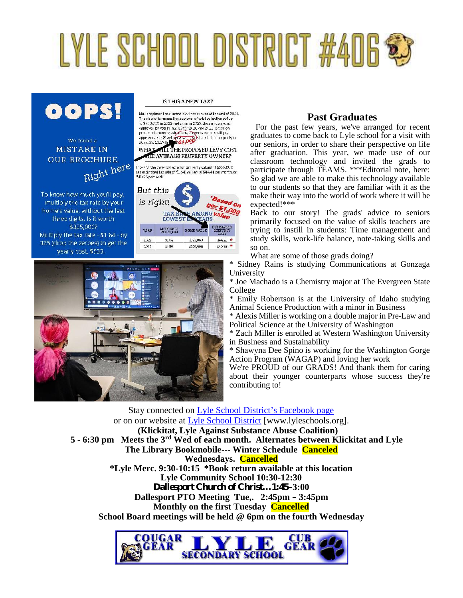# LYLE SCHOOL DISTRICT #406 \$3



## We found a **MISTAKE IN OUR BROCHURE** Right here

To know how much you'll pay, multiply the tax rate by your home's value, without the last three digits. Is it worth \$325,000? Multiply the tax rate - \$1.64 - by 325 (drop the zeroes) to get the yearly cost, \$533.

IS THIS A NEW TAX?

No. It reclaces the current levy that expires at the end of 2021. The district is requesting approval of total collections of up to \$700,000 in 2022 and again in 2023, the same amount<br>approved by voters in 2019 for 2020 and 2021. Based on approved by voters in 2011/tor 2021 can<br>perfect and property valued forces by the state of the property can be<br>approximately \$1.64 of a strongery bulk of their property in<br>2022 and \$1.59 in \$1.40000000000000000000000000000

THE AVERAGE PROPERTY OWNER?

In 2022, the toxes collected on property valued at \$325,000.<br>(an estimated tax rate of \$1.64) will equal \$44.41 per month, or<br> $$31025$  per week.





## **Past Graduates**

For the past few years, we've arranged for recent graduates to come back to Lyle school for a visit with our seniors, in order to share their perspective on life after graduation. This year, we made use of our classroom technology and invited the grads to participate through TEAMS. \*\*\*Editorial note, here: So glad we are able to make this technology available to our students so that they are familiar with it as the make their way into the world of work where it will be expected!\*\*\*

Back to our story! The grads' advice to seniors primarily focused on the value of skills teachers are trying to instill in students: Time management and study skills, work-life balance, note-taking skills and so on.

What are some of those grads doing?

\* Sidney Rains is studying Communications at Gonzaga University

\* Joe Machado is a Chemistry major at The Evergreen State College<br>\* Emily

Emily Robertson is at the University of Idaho studying Animal Science Production with a minor in Business

\* Alexis Miller is working on a double major in Pre-Law and Political Science at the University of Washington

\* Zach Miller is enrolled at Western Washington University in Business and Sustainability

\* Shawyna Dee Spino is working for the Washington Gorge Action Program (WAGAP) and loving her work

We're PROUD of our GRADS! And thank them for caring about their younger counterparts whose success they're contributing to!

Stay connected on Lyle School District's Facebook page or on our website at Lyle School District [www.lyleschools.org]. **(Klickitat, Lyle Against Substance Abuse Coalition) 5 - 6:30 pm Meets the 3rd Wed of each month. Alternates between Klickitat and Lyle The Library Bookmobile--- Winter Schedule Canceled Wednesdays. Cancelled \*Lyle Merc. 9:30-10:15 \*Book return available at this location Lyle Community School 10:30-12:30 Dallesport Church of Christ…1:45–3:00 Dallesport PTO Meeting Tue,. 2:45pm – 3:45pm Monthly on the first Tuesday Cancelled School Board meetings will be held @ 6pm on the fourth Wednesday**

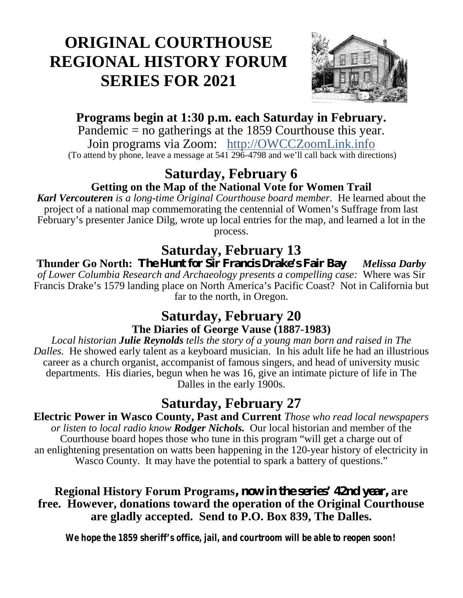## **ORIGINAL COURTHOUSE REGIONAL HISTORY FORUM SERIES FOR 2021**



## **Programs begin at 1:30 p.m. each Saturday in February.**

Pandemic = no gatherings at the 1859 Courthouse this year. Join programs via Zoom: http://OWCCZoomLink.info (To attend by phone, leave a message at  $54\overline{1296}$ -4798 and we'll call back with directions)

## **Saturday, February 6 Getting on the Map of the National Vote for Women Trail**

*Karl Vercouteren is a long-time Original Courthouse board member.* He learned about the project of a national map commemorating the centennial of Women's Suffrage from last February's presenter Janice Dilg, wrote up local entries for the map, and learned a lot in the process.

## **Saturday, February 13**

**Thunder Go North: The Hunt for Sir Francis Drake's Fair Bay** *Melissa Darby of Lower Columbia Research and Archaeology presents a compelling case:* Where was Sir Francis Drake's 1579 landing place on North America's Pacific Coast? Not in California but far to the north, in Oregon.

## **Saturday, February 20 The Diaries of George Vause (1887-1983)**

*Local historian Julie Reynolds tells the story of a young man born and raised in The Dalles.* He showed early talent as a keyboard musician. In his adult life he had an illustrious career as a church organist, accompanist of famous singers, and head of university music departments. His diaries, begun when he was 16, give an intimate picture of life in The Dalles in the early 1900s.

## **Saturday, February 27**

**Electric Power in Wasco County, Past and Current** *Those who read local newspapers or listen to local radio know Rodger Nichols.* Our local historian and member of the Courthouse board hopes those who tune in this program "will get a charge out of an enlightening presentation on watts been happening in the 120-year history of electricity in Wasco County. It may have the potential to spark a battery of questions."

## **Regional History Forum Programs, now in the series' 42nd year, are free. However, donations toward the operation of the Original Courthouse are gladly accepted. Send to P.O. Box 839, The Dalles.**

*We hope the 1859 sheriff's office, jail, and courtroom will be able to reopen soon!*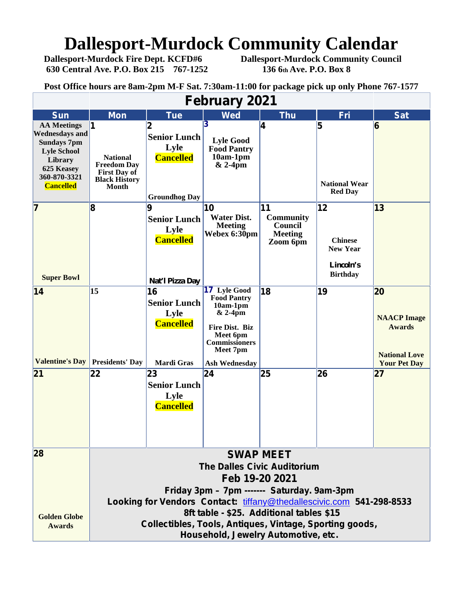## **Dallesport-Murdock Community Calendar**<br>Dallesport-Murdock Fire Dept. KCFD#6 Dallesport-Murdock Community Council

**630 Central Ave. P.O. Box 215 767-1252 136 6th Ave. P.O. Box 8**

**Dallesport-Murdock Community Council** 

**Post Office hours are 8am-2pm M-F Sat. 7:30am-11:00 for package pick up only Phone 767-1577**

| <b>February 2021</b>                                                                                                                                 |                                                                                                                                                                                                |                                                                              |                                                                                                                                      |                                                                 |                                                                         |                                                                   |  |  |  |  |  |  |
|------------------------------------------------------------------------------------------------------------------------------------------------------|------------------------------------------------------------------------------------------------------------------------------------------------------------------------------------------------|------------------------------------------------------------------------------|--------------------------------------------------------------------------------------------------------------------------------------|-----------------------------------------------------------------|-------------------------------------------------------------------------|-------------------------------------------------------------------|--|--|--|--|--|--|
| <b>Sun</b>                                                                                                                                           | <b>Mon</b>                                                                                                                                                                                     | <b>Tue</b>                                                                   | <b>Wed</b>                                                                                                                           | <b>Thu</b>                                                      | <b>Fri</b>                                                              | <b>Sat</b>                                                        |  |  |  |  |  |  |
| <b>AA Meetings</b><br><b>Wednesdays and</b><br><b>Sundays 7pm</b><br><b>Lyle School</b><br>Library<br>625 Keasey<br>360-870-3321<br><b>Cancelled</b> | 1<br><b>National</b><br><b>Freedom Day</b><br><b>First Day of</b><br><b>Black History</b><br><b>Month</b>                                                                                      | 2<br><b>Senior Lunch</b><br>Lyle<br><b>Cancelled</b><br><b>Groundhog Day</b> | <b>Lyle Good</b><br><b>Food Pantry</b><br>$10am-1pm$<br>$& 2-4$ pm                                                                   | 4                                                               | 5<br><b>National Wear</b><br><b>Red Day</b>                             | 6                                                                 |  |  |  |  |  |  |
| 7<br><b>Super Bowl</b>                                                                                                                               | 8                                                                                                                                                                                              | 9<br><b>Senior Lunch</b><br>Lyle<br><b>Cancelled</b><br>Nat'l Pizza Day      | 10<br><b>Water Dist.</b><br><b>Meeting</b><br>Webex 6:30pm                                                                           | 11<br><b>Community</b><br>Council<br><b>Meeting</b><br>Zoom 6pm | 12<br><b>Chinese</b><br><b>New Year</b><br>Lincoln's<br><b>Birthday</b> | $ 13\rangle$                                                      |  |  |  |  |  |  |
| 14<br><b>Valentine's Day</b>                                                                                                                         | 15<br><b>Presidents' Day</b>                                                                                                                                                                   | 16<br><b>Senior Lunch</b><br>Lyle<br><b>Cancelled</b>                        | <b>17 Lyle Good</b><br><b>Food Pantry</b><br>$10am-1pm$<br>& 2-4pm<br>Fire Dist. Biz<br>Meet 6pm<br><b>Commissioners</b><br>Meet 7pm | 18                                                              | 19                                                                      | 20<br><b>NAACP</b> Image<br><b>Awards</b><br><b>National Love</b> |  |  |  |  |  |  |
| 21                                                                                                                                                   | 22                                                                                                                                                                                             | <b>Mardi Gras</b><br>23<br><b>Senior Lunch</b><br>Lyle<br><b>Cancelled</b>   | <b>Ash Wednesday</b><br> 24                                                                                                          | 25                                                              | 26                                                                      | <b>Your Pet Day</b><br>27                                         |  |  |  |  |  |  |
| 28                                                                                                                                                   | <b>SWAP MEET</b><br><b>The Dalles Civic Auditorium</b><br>Feb 19-20 2021<br>Friday 3pm – 7pm ------- Saturday. 9am-3pm<br>Looking for Vendors Contact: tiffany@thedallescivic.com 541-298-8533 |                                                                              |                                                                                                                                      |                                                                 |                                                                         |                                                                   |  |  |  |  |  |  |
| <b>Golden Globe</b><br><b>Awards</b>                                                                                                                 | 8ft table - \$25. Additional tables \$15<br>Collectibles, Tools, Antiques, Vintage, Sporting goods,<br>Household, Jewelry Automotive, etc.                                                     |                                                                              |                                                                                                                                      |                                                                 |                                                                         |                                                                   |  |  |  |  |  |  |